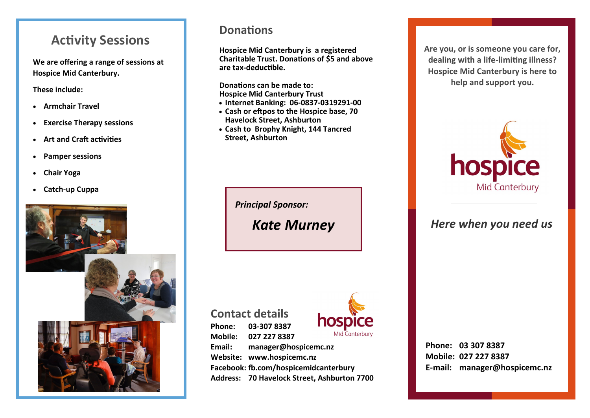# **Activity Sessions**

**We are offering a range of sessions at Hospice Mid Canterbury.** 

#### **These include:**

- • **Armchair Travel**
- • **Exercise Therapy sessions**
- • **Art and Craft activities**
- •**Pamper sessions**
- •**Chair Yoga**
- • **Catch-up Cuppa**



### **Donations**

**Hospice Mid Canterbury is a registered Charitable Trust. Donations of \$5 and above are tax-deductible.** 

**Donations can be made to: Hospice Mid Canterbury Trust**

- **Internet Banking: 06-0837-0319291-00**
- **Cash or eftpos to the Hospice base, 70 Havelock Street, Ashburton**
- **Cash to Brophy Knight, 144 Tancred Street, Ashburton**

 *Principal Sponsor:* 

*Kate Murney*

**Contact details Phone: 03-307 8387 Mobile: 027 227 8387 Email: manager@hospicemc.nz Website: www.hospicemc.nz Facebook: fb.com/hospicemidcanterbury Address: 70 Havelock Street, Ashburton 7700**



**Phone: 03 307 8387 Mobile: 027 227 8387 E-mail: manager@hospicemc.nz**

**Are you, or is someone you care for, dealing with a life-limiting illness? Hospice Mid Canterbury is here to help and support you.** 



*Here when you need us*